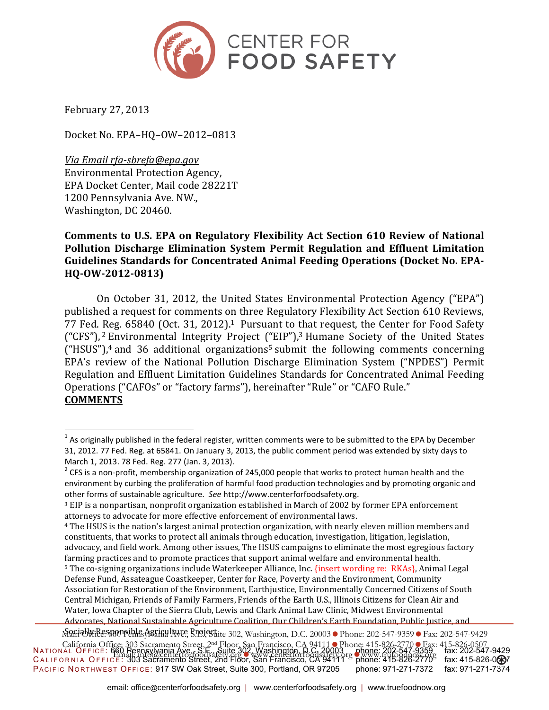

February 27, 2013

 $\overline{a}$ 

Docket No. EPA–HQ–OW–2012–0813

*Via Email rfa-sbrefa@epa.gov*  Environmental Protection Agency, EPA Docket Center, Mail code 28221T 1200 Pennsylvania Ave. NW., Washington, DC 20460.

## **Comments to U.S. EPA on Regulatory Flexibility Act Section 610 Review of National Pollution Discharge Elimination System Permit Regulation and Effluent Limitation Guidelines Standards for Concentrated Animal Feeding Operations (Docket No. EPA-HQ-OW-2012-0813)**

On October 31, 2012, the United States Environmental Protection Agency ("EPA") published a request for comments on three Regulatory Flexibility Act Section 610 Reviews, 77 Fed. Reg. 65840 (Oct. 31, 2012).<sup>1</sup> Pursuant to that request, the Center for Food Safety ("CFS"), 2 Environmental Integrity Project ("EIP"),3 Humane Society of the United States  $("HSUS")$ ,<sup>4</sup> and 36 additional organizations<sup>5</sup> submit the following comments concerning EPA's review of the National Pollution Discharge Elimination System ("NPDES") Permit Regulation and Effluent Limitation Guidelines Standards for Concentrated Animal Feeding Operations ("CAFOs" or "factory farms"), hereinafter "Rule" or "CAFO Rule." **COMMENTS** 

 $^1$  As originally published in the federal register, written comments were to be submitted to the EPA by December 31, 2012. 77 Fed. Reg. at 65841. On January 3, 2013, the public comment period was extended by sixty days to March 1, 2013. 78 Fed. Reg. 277 (Jan. 3, 2013).

<sup>&</sup>lt;sup>2</sup> CFS is a non-profit, membership organization of 245,000 people that works to protect human health and the environment by curbing the proliferation of harmful food production technologies and by promoting organic and other forms of sustainable agriculture. *See* http://www.centerforfoodsafety.org.

<sup>3</sup> EIP is a nonpartisan, nonprofit organization established in March of 2002 by former EPA enforcement attorneys to advocate for more effective enforcement of environmental laws.

<sup>4</sup> The HSUS is the nation's largest animal protection organization, with nearly eleven million members and constituents, that works to protect all animals through education, investigation, litigation, legislation, advocacy, and field work. Among other issues, The HSUS campaigns to eliminate the most egregious factory farming practices and to promote practices that support animal welfare and environmental health. <sup>5</sup> The co-signing organizations include Waterkeeper Alliance, Inc. {insert wording re: RKAs}, Animal Legal Defense Fund, Assateague Coastkeeper, Center for Race, Poverty and the Environment, Community Association for Restoration of the Environment, Earthjustice, Environmentally Concerned Citizens of South Central Michigan, Friends of Family Farmers, Friends of the Earth U.S., Illinois Citizens for Clean Air and Water, Iowa Chapter of the Sierra Club, Lewis and Clark Animal Law Clinic, Midwest Environmental Advocates, National Sustainable Agriculture Coalition, Our Children's Earth Foundation, Public Justice, and

NATIONAL OFFICE: 660 Pennsylvania Ave., S.E., Suite 302, Washington, D.C. 20003 phone: 202-547-9359 fax: 202-547-9429 CALIFORNIA OFFICE: 303 Sacramento Street, 2nd Floor, San Francisco, CA 94111 <sup>-</sup> phone: 415-826-2770 fax: 415-826-0**69**7 PACIFIC NORTHWEST OFFICE: 917 SW Oak Street, Suite 300, Portland, OR 97205 phone: 971-271-7372 fax: 971-271-7374 Maria Warkesponsible Agriculture Projectice 302, Washington, D.C. 20003 Phone: 202-547-9359 Fax: 202-547-9429 California Office: 303 Sacramento Street, 2<sup>nd</sup> Floor, San Francisco, CA 94111 Phone: 415-826-2770 Fax: 415-826-0507 Email: info@centerforfoodsafety.orgwww.centerforfoodsafety.orgwww.trufoodnow.org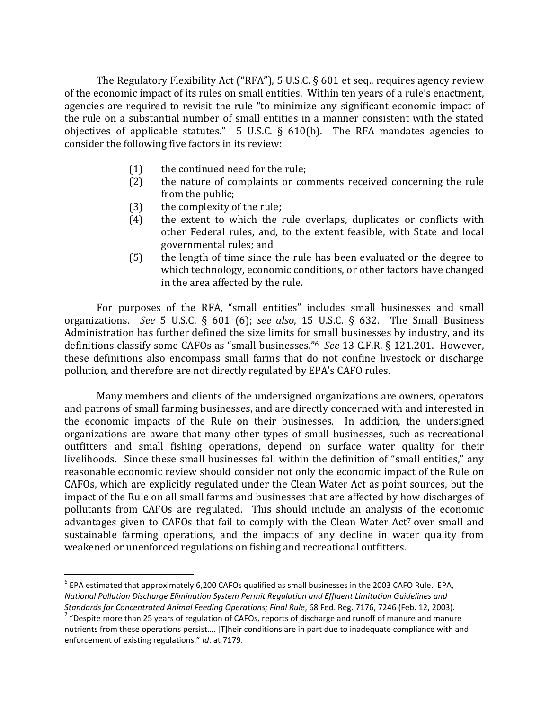The Regulatory Flexibility Act ("RFA"), 5 U.S.C. § 601 et seq., requires agency review of the economic impact of its rules on small entities. Within ten years of a rule's enactment, agencies are required to revisit the rule "to minimize any significant economic impact of the rule on a substantial number of small entities in a manner consistent with the stated objectives of applicable statutes." 5 U.S.C.  $\S$  610(b). The RFA mandates agencies to consider the following five factors in its review:

- (1) the continued need for the rule;
- (2) the nature of complaints or comments received concerning the rule from the public;
- (3) the complexity of the rule;
- (4) the extent to which the rule overlaps, duplicates or conflicts with other Federal rules, and, to the extent feasible, with State and local governmental rules; and
- (5) the length of time since the rule has been evaluated or the degree to which technology, economic conditions, or other factors have changed in the area affected by the rule.

For purposes of the RFA, "small entities" includes small businesses and small organizations. *See* 5 U.S.C. § 601 (6); *see also*, 15 U.S.C. § 632. The Small Business Administration has further defined the size limits for small businesses by industry, and its definitions classify some CAFOs as "small businesses."<sup>6</sup> *See* 13 C.F.R. § 121.201. However, these definitions also encompass small farms that do not confine livestock or discharge pollution, and therefore are not directly regulated by EPA's CAFO rules.

Many members and clients of the undersigned organizations are owners, operators and patrons of small farming businesses, and are directly concerned with and interested in the economic impacts of the Rule on their businesses. In addition, the undersigned organizations are aware that many other types of small businesses, such as recreational outfitters and small fishing operations, depend on surface water quality for their livelihoods. Since these small businesses fall within the definition of "small entities," any reasonable economic review should consider not only the economic impact of the Rule on CAFOs, which are explicitly regulated under the Clean Water Act as point sources, but the impact of the Rule on all small farms and businesses that are affected by how discharges of pollutants from CAFOs are regulated. This should include an analysis of the economic advantages given to CAFOs that fail to comply with the Clean Water Act<sup>7</sup> over small and sustainable farming operations, and the impacts of any decline in water quality from weakened or unenforced regulations on fishing and recreational outfitters.

 $\overline{a}$ 

 $^6$  EPA estimated that approximately 6,200 CAFOs qualified as small businesses in the 2003 CAFO Rule. EPA, *National Pollution Discharge Elimination System Permit Regulation and Effluent Limitation Guidelines and Standards for Concentrated Animal Feeding Operations; Final Rule*, 68 Fed. Reg. 7176, 7246 (Feb. 12, 2003).

 $7$  "Despite more than 25 years of regulation of CAFOs, reports of discharge and runoff of manure and manure nutrients from these operations persist…. [T]heir conditions are in part due to inadequate compliance with and enforcement of existing regulations." *Id*. at 7179.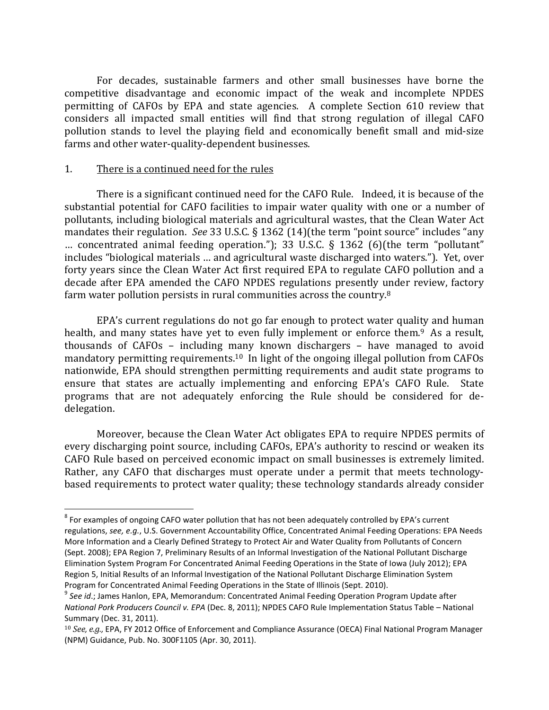For decades, sustainable farmers and other small businesses have borne the competitive disadvantage and economic impact of the weak and incomplete NPDES permitting of CAFOs by EPA and state agencies. A complete Section 610 review that considers all impacted small entities will find that strong regulation of illegal CAFO pollution stands to level the playing field and economically benefit small and mid-size farms and other water-quality-dependent businesses.

### 1. There is a continued need for the rules

 $\overline{a}$ 

There is a significant continued need for the CAFO Rule. Indeed, it is because of the substantial potential for CAFO facilities to impair water quality with one or a number of pollutants, including biological materials and agricultural wastes, that the Clean Water Act mandates their regulation. *See* 33 U.S.C. § 1362 (14)(the term "point source" includes "any … concentrated animal feeding operation."); 33 U.S.C. § 1362 (6)(the term "pollutant" includes "biological materials … and agricultural waste discharged into waters."). Yet, over forty years since the Clean Water Act first required EPA to regulate CAFO pollution and a decade after EPA amended the CAFO NPDES regulations presently under review, factory farm water pollution persists in rural communities across the country.<sup>8</sup>

EPA's current regulations do not go far enough to protect water quality and human health, and many states have yet to even fully implement or enforce them.<sup>9</sup> As a result, thousands of CAFOs – including many known dischargers – have managed to avoid mandatory permitting requirements.<sup>10</sup> In light of the ongoing illegal pollution from CAFOs nationwide, EPA should strengthen permitting requirements and audit state programs to ensure that states are actually implementing and enforcing EPA's CAFO Rule. State programs that are not adequately enforcing the Rule should be considered for dedelegation.

Moreover, because the Clean Water Act obligates EPA to require NPDES permits of every discharging point source, including CAFOs, EPA's authority to rescind or weaken its CAFO Rule based on perceived economic impact on small businesses is extremely limited. Rather, any CAFO that discharges must operate under a permit that meets technologybased requirements to protect water quality; these technology standards already consider

 $^8$  For examples of ongoing CAFO water pollution that has not been adequately controlled by EPA's current regulations, *see, e.g.*, U.S. Government Accountability Office, Concentrated Animal Feeding Operations: EPA Needs More Information and a Clearly Defined Strategy to Protect Air and Water Quality from Pollutants of Concern (Sept. 2008); EPA Region 7, Preliminary Results of an Informal Investigation of the National Pollutant Discharge Elimination System Program For Concentrated Animal Feeding Operations in the State of Iowa (July 2012); EPA Region 5, Initial Results of an Informal Investigation of the National Pollutant Discharge Elimination System Program for Concentrated Animal Feeding Operations in the State of Illinois (Sept. 2010).

<sup>9</sup> *See id*.; James Hanlon, EPA, Memorandum: Concentrated Animal Feeding Operation Program Update after *National Pork Producers Council v. EPA* (Dec. 8, 2011); NPDES CAFO Rule Implementation Status Table – National Summary (Dec. 31, 2011).

<sup>10</sup> *See, e.g.,* EPA, FY 2012 Office of Enforcement and Compliance Assurance (OECA) Final National Program Manager (NPM) Guidance, Pub. No. 300F1105 (Apr. 30, 2011).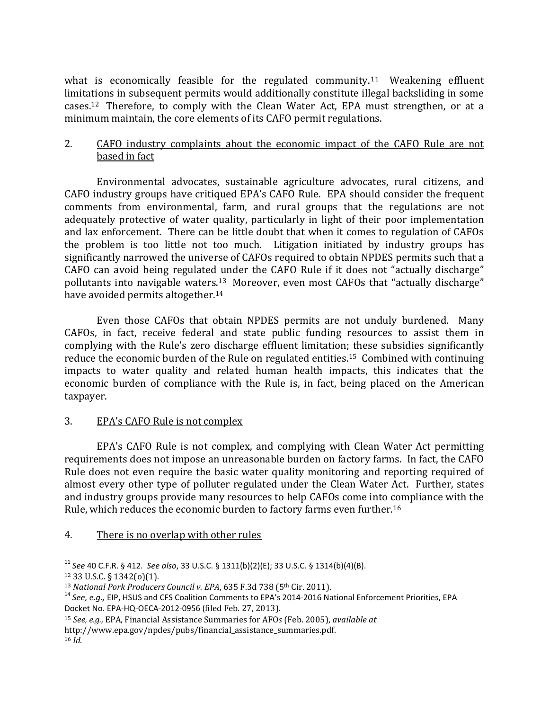what is economically feasible for the regulated community.<sup>11</sup> Weakening effluent limitations in subsequent permits would additionally constitute illegal backsliding in some cases.12 Therefore, to comply with the Clean Water Act, EPA must strengthen, or at a minimum maintain, the core elements of its CAFO permit regulations.

## 2. CAFO industry complaints about the economic impact of the CAFO Rule are not based in fact

Environmental advocates, sustainable agriculture advocates, rural citizens, and CAFO industry groups have critiqued EPA's CAFO Rule. EPA should consider the frequent comments from environmental, farm, and rural groups that the regulations are not adequately protective of water quality, particularly in light of their poor implementation and lax enforcement. There can be little doubt that when it comes to regulation of CAFOs the problem is too little not too much. Litigation initiated by industry groups has significantly narrowed the universe of CAFOs required to obtain NPDES permits such that a CAFO can avoid being regulated under the CAFO Rule if it does not "actually discharge" pollutants into navigable waters.13 Moreover, even most CAFOs that "actually discharge" have avoided permits altogether.<sup>14</sup>

Even those CAFOs that obtain NPDES permits are not unduly burdened. Many CAFOs, in fact, receive federal and state public funding resources to assist them in complying with the Rule's zero discharge effluent limitation; these subsidies significantly reduce the economic burden of the Rule on regulated entities.15 Combined with continuing impacts to water quality and related human health impacts, this indicates that the economic burden of compliance with the Rule is, in fact, being placed on the American taxpayer.

# 3. EPA's CAFO Rule is not complex

EPA's CAFO Rule is not complex, and complying with Clean Water Act permitting requirements does not impose an unreasonable burden on factory farms. In fact, the CAFO Rule does not even require the basic water quality monitoring and reporting required of almost every other type of polluter regulated under the Clean Water Act. Further, states and industry groups provide many resources to help CAFOs come into compliance with the Rule, which reduces the economic burden to factory farms even further.<sup>16</sup>

## 4. There is no overlap with other rules

http://www.epa.gov/npdes/pubs/financial\_assistance\_summaries.pdf.

 $\overline{a}$ 

<sup>11</sup> *See* 40 C.F.R. § 412. *See also*, 33 U.S.C. § 1311(b)(2)(E); 33 U.S.C. § 1314(b)(4)(B).

<sup>12</sup> 33 U.S.C. § 1342(o)(1).

<sup>&</sup>lt;sup>13</sup> *National Pork Producers Council v. EPA*, 635 F.3d 738 (5<sup>th</sup> Cir. 2011).

<sup>14</sup> *See, e.g.,* EIP, HSUS and CFS Coalition Comments to EPA's 2014-2016 National Enforcement Priorities, EPA Docket No. EPA-HQ-OECA-2012-0956 (filed Feb. 27, 2013).

<sup>15</sup> *See, e.g.,* EPA, Financial Assistance Summaries for AFO*s* (Feb. 2005), *available at*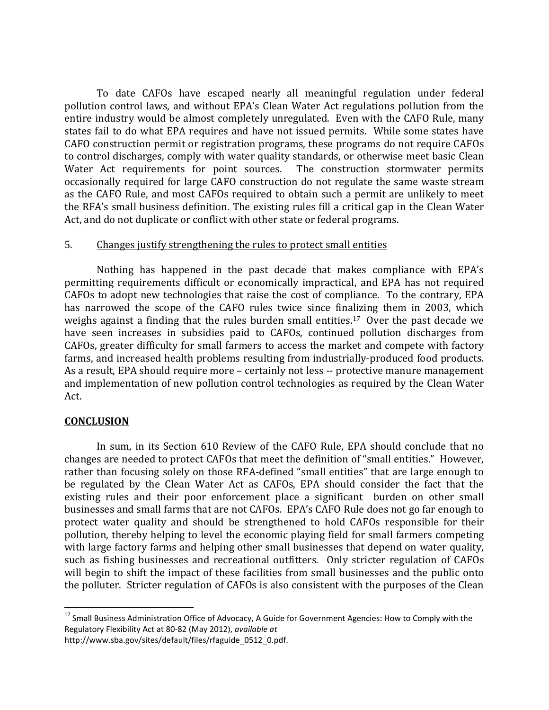To date CAFOs have escaped nearly all meaningful regulation under federal pollution control laws, and without EPA's Clean Water Act regulations pollution from the entire industry would be almost completely unregulated. Even with the CAFO Rule, many states fail to do what EPA requires and have not issued permits. While some states have CAFO construction permit or registration programs, these programs do not require CAFOs to control discharges, comply with water quality standards, or otherwise meet basic Clean Water Act requirements for point sources. The construction stormwater permits occasionally required for large CAFO construction do not regulate the same waste stream as the CAFO Rule, and most CAFOs required to obtain such a permit are unlikely to meet the RFA's small business definition. The existing rules fill a critical gap in the Clean Water Act, and do not duplicate or conflict with other state or federal programs.

### 5. Changes justify strengthening the rules to protect small entities

Nothing has happened in the past decade that makes compliance with EPA's permitting requirements difficult or economically impractical, and EPA has not required CAFOs to adopt new technologies that raise the cost of compliance. To the contrary, EPA has narrowed the scope of the CAFO rules twice since finalizing them in 2003, which weighs against a finding that the rules burden small entities.<sup>17</sup> Over the past decade we have seen increases in subsidies paid to CAFOs, continued pollution discharges from CAFOs, greater difficulty for small farmers to access the market and compete with factory farms, and increased health problems resulting from industrially-produced food products. As a result, EPA should require more – certainly not less -- protective manure management and implementation of new pollution control technologies as required by the Clean Water Act.

#### **CONCLUSION**

 $\overline{a}$ 

In sum, in its Section 610 Review of the CAFO Rule, EPA should conclude that no changes are needed to protect CAFOs that meet the definition of "small entities." However, rather than focusing solely on those RFA-defined "small entities" that are large enough to be regulated by the Clean Water Act as CAFOs, EPA should consider the fact that the existing rules and their poor enforcement place a significant burden on other small businesses and small farms that are not CAFOs. EPA's CAFO Rule does not go far enough to protect water quality and should be strengthened to hold CAFOs responsible for their pollution, thereby helping to level the economic playing field for small farmers competing with large factory farms and helping other small businesses that depend on water quality, such as fishing businesses and recreational outfitters. Only stricter regulation of CAFOs will begin to shift the impact of these facilities from small businesses and the public onto the polluter. Stricter regulation of CAFOs is also consistent with the purposes of the Clean

<sup>&</sup>lt;sup>17</sup> Small Business Administration Office of Advocacy, A Guide for Government Agencies: How to Comply with the Regulatory Flexibility Act at 80-82 (May 2012), *available at*

http://www.sba.gov/sites/default/files/rfaguide\_0512\_0.pdf.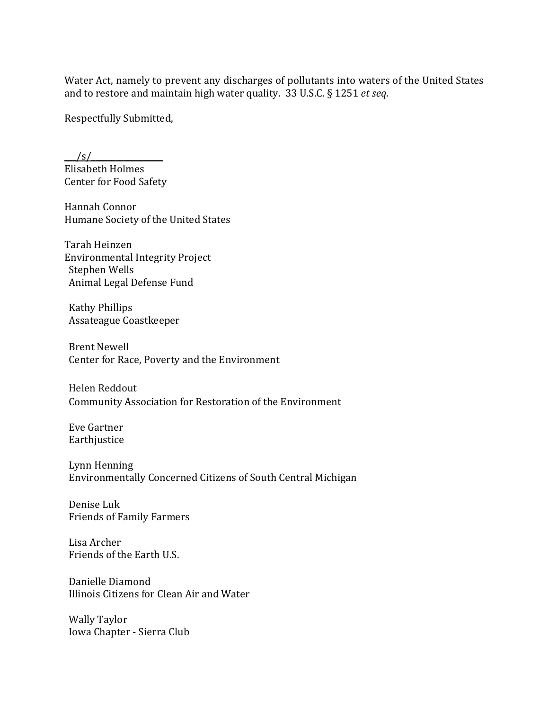Water Act, namely to prevent any discharges of pollutants into waters of the United States and to restore and maintain high water quality. 33 U.S.C. § 1251 *et seq.*

Respectfully Submitted,

 $\frac{|s|}{\sqrt{2}}$ Elisabeth Holmes Center for Food Safety

Hannah Connor Humane Society of the United States

Tarah Heinzen Environmental Integrity Project Stephen Wells Animal Legal Defense Fund

Kathy Phillips Assateague Coastkeeper

Brent Newell Center for Race, Poverty and the Environment

Helen Reddout Community Association for Restoration of the Environment

Eve Gartner Earthjustice

Lynn Henning Environmentally Concerned Citizens of South Central Michigan

Denise Luk Friends of Family Farmers

Lisa Archer Friends of the Earth U.S.

Danielle Diamond Illinois Citizens for Clean Air and Water

Wally Taylor Iowa Chapter - Sierra Club